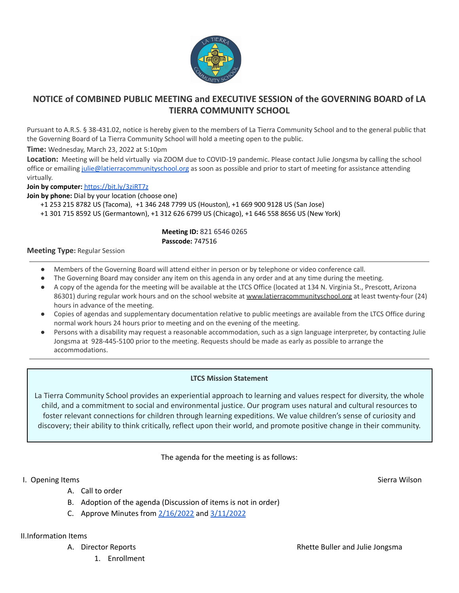

# **NOTICE of COMBINED PUBLIC MEETING and EXECUTIVE SESSION of the GOVERNING BOARD of LA TIERRA COMMUNITY SCHOOL**

Pursuant to A.R.S. § 38-431.02, notice is hereby given to the members of La Tierra Community School and to the general public that the Governing Board of La Tierra Community School will hold a meeting open to the public.

**Time:** Wednesday, March 23, 2022 at 5:10pm

**Location:** Meeting will be held virtually via ZOOM due to COVID-19 pandemic. Please contact Julie Jongsma by calling the school office or emailing [julie@latierracommunityschool.org](mailto:julie@latierracommunityschool.org) as soon as possible and prior to start of meeting for assistance attending virtually.

**Join by computer:** <https://bit.ly/3ziRT7z>

**Join by phone:** Dial by your location (choose one)

+1 253 215 8782 US (Tacoma), +1 346 248 7799 US (Houston), +1 669 900 9128 US (San Jose)

+1 301 715 8592 US (Germantown), +1 312 626 6799 US (Chicago), +1 646 558 8656 US (New York)

#### **Meeting ID:** 821 6546 0265 **Passcode:** 747516

#### **Meeting Type:** Regular Session

- Members of the Governing Board will attend either in person or by telephone or video conference call.
- The Governing Board may consider any item on this agenda in any order and at any time during the meeting.
- A copy of the agenda for the meeting will be available at the LTCS Office (located at 134 N. Virginia St., Prescott, Arizona 86301) during regular work hours and on the school website at [www.latierracommunityschool.org](http://www.latierracommunityschool.org) at least twenty-four (24) hours in advance of the meeting.
- Copies of agendas and supplementary documentation relative to public meetings are available from the LTCS Office during normal work hours 24 hours prior to meeting and on the evening of the meeting.
- Persons with a disability may request a reasonable accommodation, such as a sign language interpreter, by contacting Julie Jongsma at 928-445-5100 prior to the meeting. Requests should be made as early as possible to arrange the accommodations.

### **LTCS Mission Statement**

La Tierra Community School provides an experiential approach to learning and values respect for diversity, the whole child, and a commitment to social and environmental justice. Our program uses natural and cultural resources to foster relevant connections for children through learning expeditions. We value children's sense of curiosity and discovery; their ability to think critically, reflect upon their world, and promote positive change in their community.

The agenda for the meeting is as follows:

### I. Opening Items Sierra Wilson Sierra Wilson Sierra Wilson Sierra Wilson Sierra Wilson Sierra Wilson Sierra Wilson

- A. Call to order
- B. Adoption of the agenda (Discussion of items is not in order)
- C. Approve Minutes from  $2/16/2022$  and  $3/11/2022$

II.Information Items

- - 1. Enrollment

A. Director Reports **Reports Reports Reports Rhette Buller and Julie Jongsma**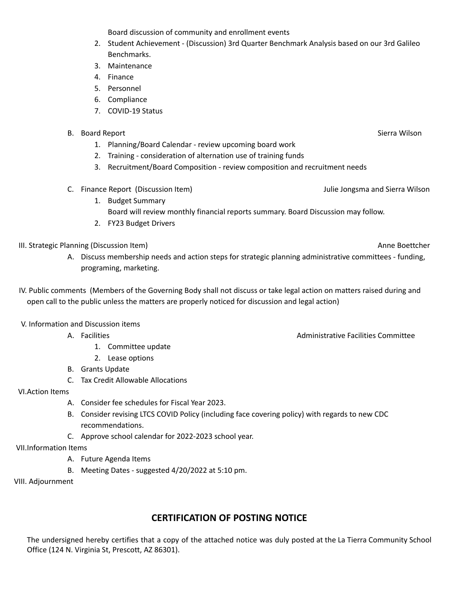Board discussion of community and enrollment events

- 2. Student Achievement (Discussion) 3rd Quarter Benchmark Analysis based on our 3rd Galileo Benchmarks.
- 3. Maintenance
- 4. Finance
- 5. Personnel
- 6. Compliance
- 7. COVID-19 Status
- B. Board Report Sierra Wilson Sierra Wilson Sierra Wilson Sierra Wilson Sierra Wilson Sierra Wilson Sierra Wilson
	- 1. Planning/Board Calendar review upcoming board work
	- 2. Training consideration of alternation use of training funds
	- 3. Recruitment/Board Composition review composition and recruitment needs
- C. Finance Report (Discussion Item) Julie Jongsma and Sierra Wilson
	- 1. Budget Summary Board will review monthly financial reports summary. Board Discussion may follow.
	- 2. FY23 Budget Drivers

III. Strategic Planning (Discussion Item) and the control of the control of the control of the control of the control of the control of the control of the control of the control of the control of the control of the control

- A. Discuss membership needs and action steps for strategic planning administrative committees funding, programing, marketing.
- IV. Public comments (Members of the Governing Body shall not discuss or take legal action on matters raised during and open call to the public unless the matters are properly noticed for discussion and legal action)

V. Information and Discussion items

- - 1. Committee update
	- 2. Lease options
- B. Grants Update
- C. Tax Credit Allowable Allocations

VI.Action Items

- A. Consider fee schedules for Fiscal Year 2023.
- B. Consider revising LTCS COVID Policy (including face covering policy) with regards to new CDC recommendations.
- C. Approve school calendar for 2022-2023 school year.
- VII.Information Items
	- A. Future Agenda Items
	- B. Meeting Dates suggested 4/20/2022 at 5:10 pm.

VIII. Adjournment

## **CERTIFICATION OF POSTING NOTICE**

The undersigned hereby certifies that a copy of the attached notice was duly posted at the La Tierra Community School Office (124 N. Virginia St, Prescott, AZ 86301).

A. Facilities **Administrative Facilities** Committee